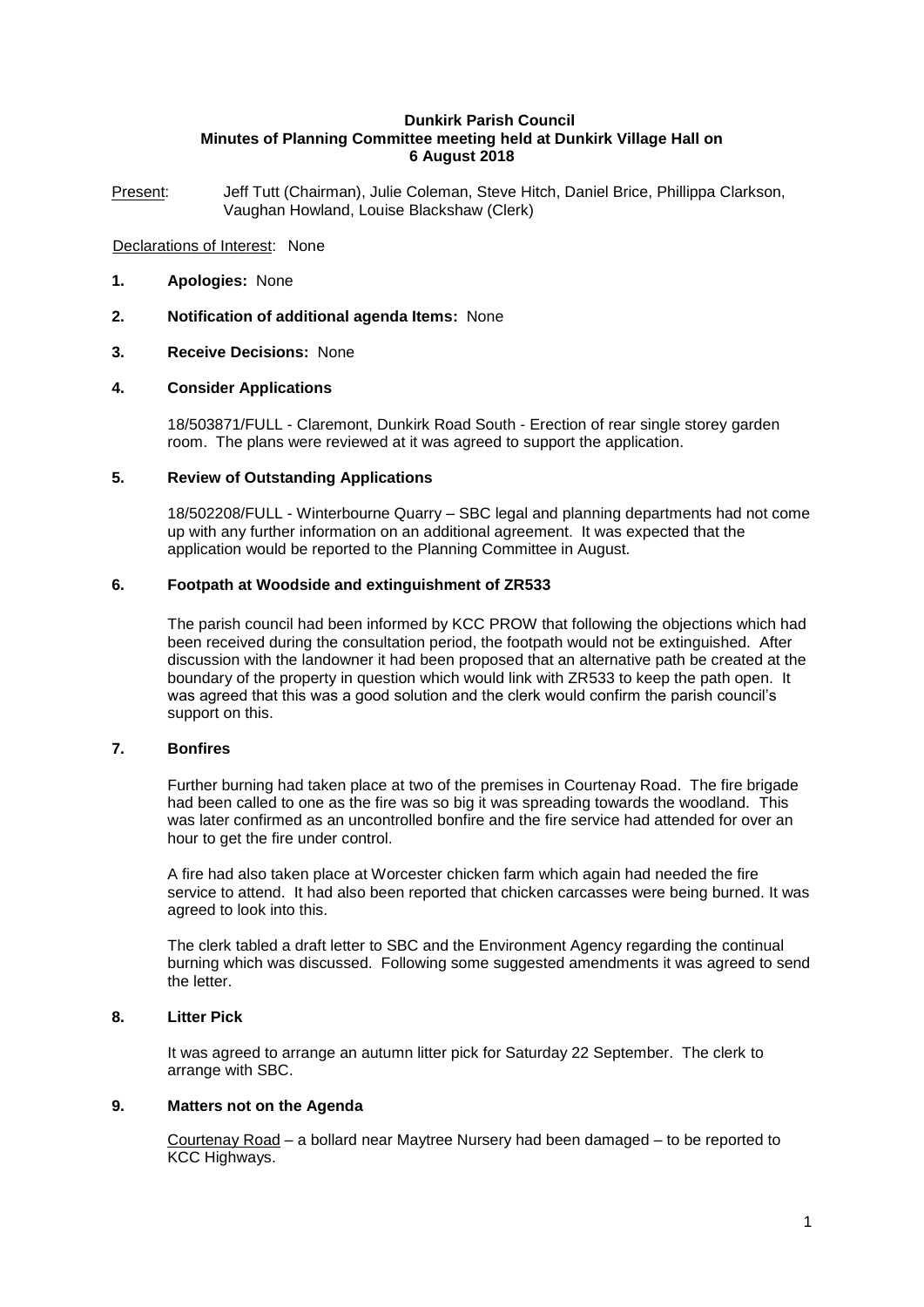#### **Dunkirk Parish Council Minutes of Planning Committee meeting held at Dunkirk Village Hall on 6 August 2018**

Present: Jeff Tutt (Chairman), Julie Coleman, Steve Hitch, Daniel Brice, Phillippa Clarkson, Vaughan Howland, Louise Blackshaw (Clerk)

## Declarations of Interest: None

- **1. Apologies:** None
- **2. Notification of additional agenda Items:** None

## **3. Receive Decisions:** None

## **4. Consider Applications**

18/503871/FULL - Claremont, Dunkirk Road South - Erection of rear single storey garden room. The plans were reviewed at it was agreed to support the application.

# **5. Review of Outstanding Applications**

18/502208/FULL - Winterbourne Quarry – SBC legal and planning departments had not come up with any further information on an additional agreement. It was expected that the application would be reported to the Planning Committee in August.

# **6. Footpath at Woodside and extinguishment of ZR533**

The parish council had been informed by KCC PROW that following the objections which had been received during the consultation period, the footpath would not be extinguished. After discussion with the landowner it had been proposed that an alternative path be created at the boundary of the property in question which would link with ZR533 to keep the path open. It was agreed that this was a good solution and the clerk would confirm the parish council's support on this.

# **7. Bonfires**

Further burning had taken place at two of the premises in Courtenay Road. The fire brigade had been called to one as the fire was so big it was spreading towards the woodland. This was later confirmed as an uncontrolled bonfire and the fire service had attended for over an hour to get the fire under control.

A fire had also taken place at Worcester chicken farm which again had needed the fire service to attend. It had also been reported that chicken carcasses were being burned. It was agreed to look into this.

The clerk tabled a draft letter to SBC and the Environment Agency regarding the continual burning which was discussed. Following some suggested amendments it was agreed to send the letter.

# **8. Litter Pick**

It was agreed to arrange an autumn litter pick for Saturday 22 September. The clerk to arrange with SBC.

#### **9. Matters not on the Agenda**

Courtenay Road – a bollard near Maytree Nursery had been damaged – to be reported to KCC Highways.